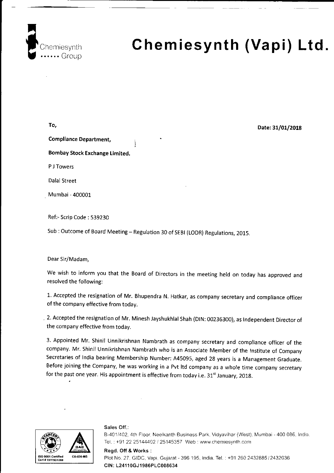

# Chemiesynth (Vapi) Ltd.

To, Compliance Department, Bombay Stock Exchange Limited. <sup>P</sup>J Towers Dalal Street Mumbai - 400001 Ref:- Scrip Code : 539230

Sub : Outcome of Board Meeting - Regulation 30 of SEBI (LODR) Regulations, 2015.

### Dear Sir/Madam,

we wish to inform you that the Board of Directors in the meeting held on today has approved and resolved the following:

1. Accepted the resignation of Mr. Bhupendra N. Hatkar, as company secretary and compliance officer of the company effective from today.

. 2. Accepted the resignation of Mr. Minesh Jayshukhlal Shah (DIN: 00236300), as Independent Director of the company effective from today.

3. Appointed Mr. Shinil Unnikrishnan Nambrath as company secretary and compliance officer of the company. Mr. Shinil Unnikrishnan Nambrath who is an Associate Member of the lnstitute of Company Secretaries of India bearing Membership Number: A45095, aged 28 years is a Management Graduate. Before joining the company, he was working in a pvt ltd company as a whole time company secretary for the past one year. His appointment is effective from today i.e. 31<sup>st</sup> January, 2018.



Sales Off.:

B-401/402, 4th Floor, Neelkanth Business Park, Vidyavihar (West). Mumbai - 400 086, India. Tel.: +91 22 25144402 / 25145357 Web : www.chemiesynth.com

### Regd. Off & Works :

Plot No. 27, GIDC, Vapi, Gujarat - 396 195, India. Tel. : +91 260 2432885 / 2432036 CIN: L2411oGJ1986PLC008634

Date: 31/01/2018